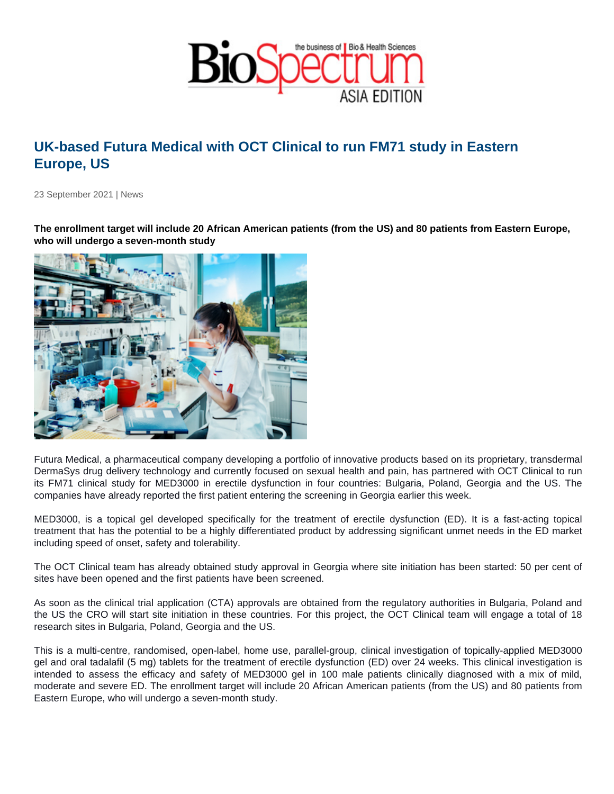## UK-based Futura Medical with OCT Clinical to run FM71 study in Eastern Europe, US

23 September 2021 | News

The enrollment target will include 20 African American patients (from the US) and 80 patients from Eastern Europe, who will undergo a seven-month study

Futura Medical, a pharmaceutical company developing a portfolio of innovative products based on its proprietary, transdermal DermaSys drug delivery technology and currently focused on sexual health and pain, has partnered with OCT Clinical to run its FM71 clinical study for MED3000 in erectile dysfunction in four countries: Bulgaria, Poland, Georgia and the US. The companies have already reported the first patient entering the screening in Georgia earlier this week.

MED3000, is a topical gel developed specifically for the treatment of erectile dysfunction (ED). It is a fast-acting topical treatment that has the potential to be a highly differentiated product by addressing significant unmet needs in the ED market including speed of onset, safety and tolerability.

The OCT Clinical team has already obtained study approval in Georgia where site initiation has been started: 50 per cent of sites have been opened and the first patients have been screened.

As soon as the clinical trial application (CTA) approvals are obtained from the regulatory authorities in Bulgaria, Poland and the US the CRO will start site initiation in these countries. For this project, the OCT Clinical team will engage a total of 18 research sites in Bulgaria, Poland, Georgia and the US.

This is a multi-centre, randomised, open-label, home use, parallel-group, clinical investigation of topically-applied MED3000 gel and oral tadalafil (5 mg) tablets for the treatment of erectile dysfunction (ED) over 24 weeks. This clinical investigation is intended to assess the efficacy and safety of MED3000 gel in 100 male patients clinically diagnosed with a mix of mild, moderate and severe ED. The enrollment target will include 20 African American patients (from the US) and 80 patients from Eastern Europe, who will undergo a seven-month study.